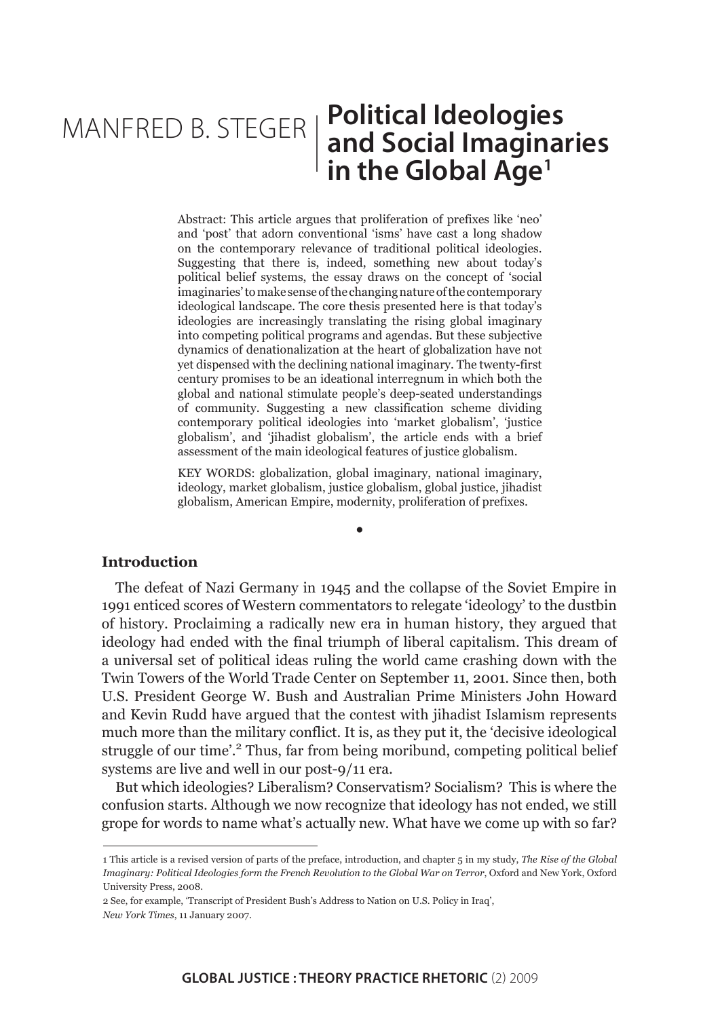# Manfred B. Steger **Political Ideologies and Social Imaginaries in the Global Age1**

Abstract: This article argues that proliferation of prefixes like 'neo' and 'post' that adorn conventional 'isms' have cast a long shadow on the contemporary relevance of traditional political ideologies. Suggesting that there is, indeed, something new about today's political belief systems, the essay draws on the concept of 'social imaginaries' to make sense of the changing nature of the contemporary ideological landscape. The core thesis presented here is that today's ideologies are increasingly translating the rising global imaginary into competing political programs and agendas. But these subjective dynamics of denationalization at the heart of globalization have not yet dispensed with the declining national imaginary. The twenty-first century promises to be an ideational interregnum in which both the global and national stimulate people's deep-seated understandings of community. Suggesting a new classification scheme dividing contemporary political ideologies into 'market globalism', 'justice globalism', and 'jihadist globalism', the article ends with a brief assessment of the main ideological features of justice globalism.

KEY WORDS: globalization, global imaginary, national imaginary, ideology, market globalism, justice globalism, global justice, jihadist globalism, American Empire, modernity, proliferation of prefixes.

•

#### **Introduction**

The defeat of Nazi Germany in 1945 and the collapse of the Soviet Empire in 1991 enticed scores of Western commentators to relegate 'ideology' to the dustbin of history. Proclaiming a radically new era in human history, they argued that ideology had ended with the final triumph of liberal capitalism. This dream of a universal set of political ideas ruling the world came crashing down with the Twin Towers of the World Trade Center on September 11, 2001. Since then, both U.S. President George W. Bush and Australian Prime Ministers John Howard and Kevin Rudd have argued that the contest with jihadist Islamism represents much more than the military conflict. It is, as they put it, the 'decisive ideological struggle of our time'.<sup>2</sup> Thus, far from being moribund, competing political belief systems are live and well in our post-9/11 era.

But which ideologies? Liberalism? Conservatism? Socialism? This is where the confusion starts. Although we now recognize that ideology has not ended, we still grope for words to name what's actually new. What have we come up with so far?

<sup>1</sup> This article is a revised version of parts of the preface, introduction, and chapter 5 in my study, *The Rise of the Global Imaginary: Political Ideologies form the French Revolution to the Global War on Terror*, Oxford and New York, Oxford University Press, 2008.

<sup>2</sup> See, for example, 'Transcript of President Bush's Address to Nation on U.S. Policy in Iraq',

*New York Times*, 11 January 2007.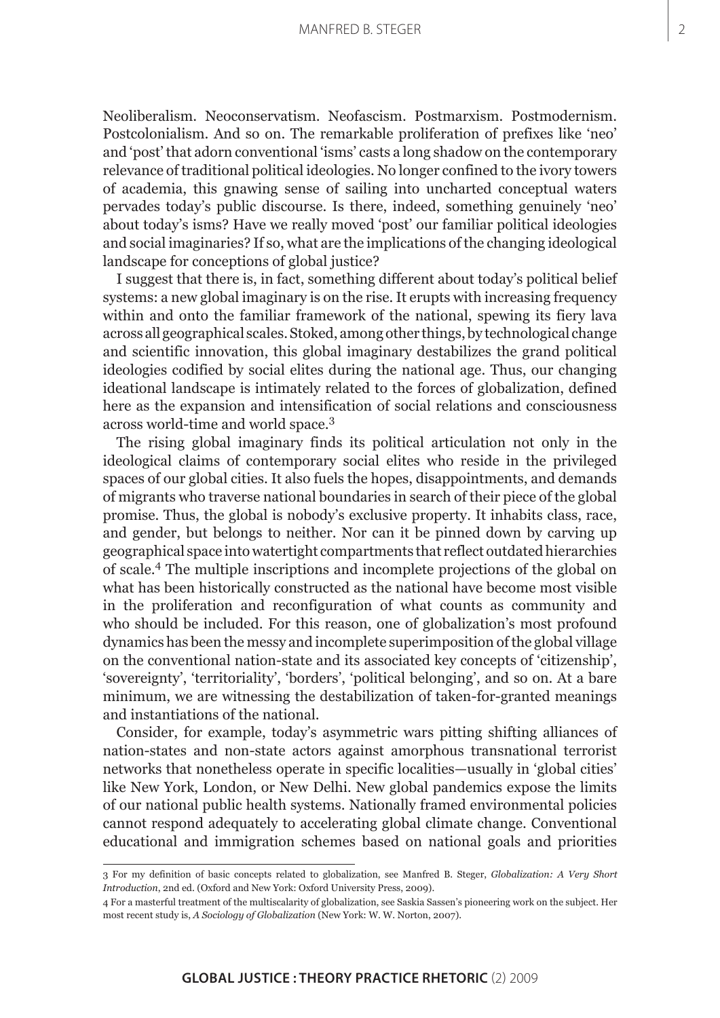#### Manfred B. Steger

Neoliberalism. Neoconservatism. Neofascism. Postmarxism. Postmodernism. Postcolonialism. And so on. The remarkable proliferation of prefixes like 'neo' and 'post' that adorn conventional 'isms' casts a long shadow on the contemporary relevance of traditional political ideologies. No longer confined to the ivory towers of academia, this gnawing sense of sailing into uncharted conceptual waters pervades today's public discourse. Is there, indeed, something genuinely 'neo' about today's isms? Have we really moved 'post' our familiar political ideologies and social imaginaries? If so, what are the implications of the changing ideological landscape for conceptions of global justice?

I suggest that there is, in fact, something different about today's political belief systems: a new global imaginary is on the rise. It erupts with increasing frequency within and onto the familiar framework of the national, spewing its fiery lava across all geographical scales. Stoked, among other things, by technological change and scientific innovation, this global imaginary destabilizes the grand political ideologies codified by social elites during the national age. Thus, our changing ideational landscape is intimately related to the forces of globalization, defined here as the expansion and intensification of social relations and consciousness across world-time and world space.<sup>3</sup>

The rising global imaginary finds its political articulation not only in the ideological claims of contemporary social elites who reside in the privileged spaces of our global cities. It also fuels the hopes, disappointments, and demands of migrants who traverse national boundaries in search of their piece of the global promise. Thus, the global is nobody's exclusive property. It inhabits class, race, and gender, but belongs to neither. Nor can it be pinned down by carving up geographical space into watertight compartments that reflect outdated hierarchies of scale.<sup>4</sup> The multiple inscriptions and incomplete projections of the global on what has been historically constructed as the national have become most visible in the proliferation and reconfiguration of what counts as community and who should be included. For this reason, one of globalization's most profound dynamics has been the messy and incomplete superimposition of the global village on the conventional nation-state and its associated key concepts of 'citizenship', 'sovereignty', 'territoriality', 'borders', 'political belonging', and so on. At a bare minimum, we are witnessing the destabilization of taken-for-granted meanings and instantiations of the national.

Consider, for example, today's asymmetric wars pitting shifting alliances of nation-states and non-state actors against amorphous transnational terrorist networks that nonetheless operate in specific localities—usually in 'global cities' like New York, London, or New Delhi. New global pandemics expose the limits of our national public health systems. Nationally framed environmental policies cannot respond adequately to accelerating global climate change. Conventional educational and immigration schemes based on national goals and priorities

<sup>3</sup> For my definition of basic concepts related to globalization, see Manfred B. Steger, *Globalization: A Very Short Introduction*, 2nd ed. (Oxford and New York: Oxford University Press, 2009).

<sup>4</sup> For a masterful treatment of the multiscalarity of globalization, see Saskia Sassen's pioneering work on the subject. Her most recent study is, *A Sociology of Globalization* (New York: W. W. Norton, 2007).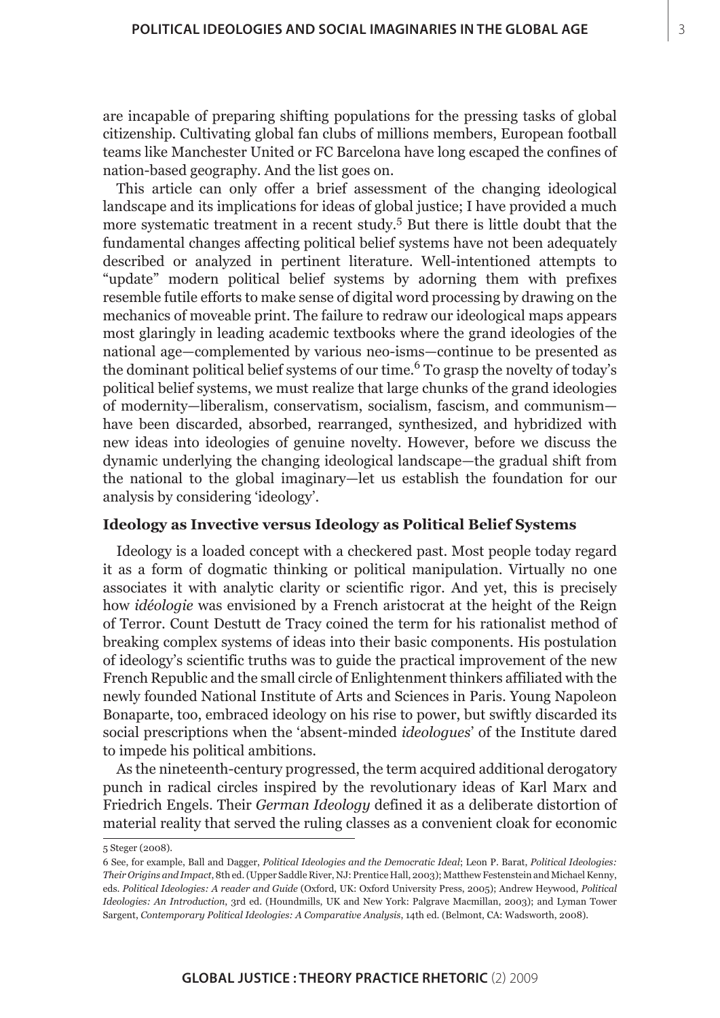are incapable of preparing shifting populations for the pressing tasks of global citizenship. Cultivating global fan clubs of millions members, European football teams like Manchester United or FC Barcelona have long escaped the confines of nation-based geography. And the list goes on.

This article can only offer a brief assessment of the changing ideological landscape and its implications for ideas of global justice; I have provided a much more systematic treatment in a recent study.<sup>5</sup> But there is little doubt that the fundamental changes affecting political belief systems have not been adequately described or analyzed in pertinent literature. Well-intentioned attempts to "update" modern political belief systems by adorning them with prefixes resemble futile efforts to make sense of digital word processing by drawing on the mechanics of moveable print. The failure to redraw our ideological maps appears most glaringly in leading academic textbooks where the grand ideologies of the national age—complemented by various neo-isms—continue to be presented as the dominant political belief systems of our time.<sup>6</sup> To grasp the novelty of today's political belief systems, we must realize that large chunks of the grand ideologies of modernity—liberalism, conservatism, socialism, fascism, and communism have been discarded, absorbed, rearranged, synthesized, and hybridized with new ideas into ideologies of genuine novelty. However, before we discuss the dynamic underlying the changing ideological landscape—the gradual shift from the national to the global imaginary—let us establish the foundation for our analysis by considering 'ideology'.

## **Ideology as Invective versus Ideology as Political Belief Systems**

Ideology is a loaded concept with a checkered past. Most people today regard it as a form of dogmatic thinking or political manipulation. Virtually no one associates it with analytic clarity or scientific rigor. And yet, this is precisely how *idéologie* was envisioned by a French aristocrat at the height of the Reign of Terror. Count Destutt de Tracy coined the term for his rationalist method of breaking complex systems of ideas into their basic components. His postulation of ideology's scientific truths was to guide the practical improvement of the new French Republic and the small circle of Enlightenment thinkers affiliated with the newly founded National Institute of Arts and Sciences in Paris. Young Napoleon Bonaparte, too, embraced ideology on his rise to power, but swiftly discarded its social prescriptions when the 'absent-minded *ideologues*' of the Institute dared to impede his political ambitions.

As the nineteenth-century progressed, the term acquired additional derogatory punch in radical circles inspired by the revolutionary ideas of Karl Marx and Friedrich Engels. Their *German Ideology* defined it as a deliberate distortion of material reality that served the ruling classes as a convenient cloak for economic

<sup>5</sup> Steger (2008).

<sup>6</sup> See, for example, Ball and Dagger, *Political Ideologies and the Democratic Ideal*; Leon P. Barat, *Political Ideologies: Their Origins and Impact*, 8th ed. (Upper Saddle River, NJ: Prentice Hall, 2003); Matthew Festenstein and Michael Kenny, eds. *Political Ideologies: A reader and Guide* (Oxford, UK: Oxford University Press, 2005); Andrew Heywood, *Political Ideologies: An Introduction*, 3rd ed. (Houndmills, UK and New York: Palgrave Macmillan, 2003); and Lyman Tower Sargent, *Contemporary Political Ideologies: A Comparative Analysis*, 14th ed. (Belmont, CA: Wadsworth, 2008).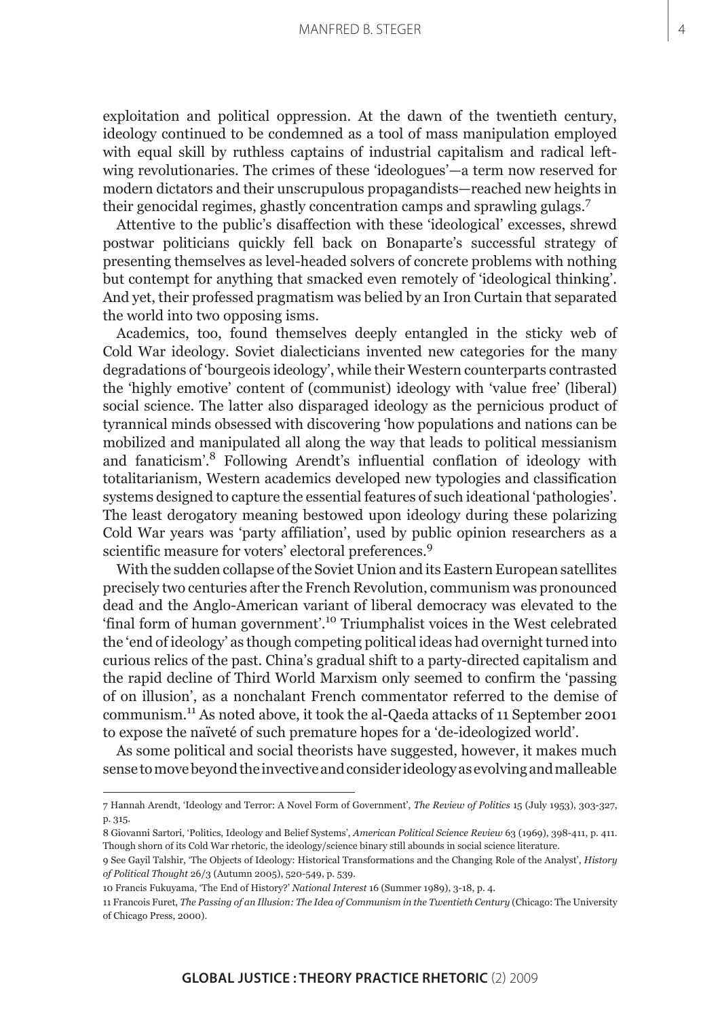#### Manfred B. Steger

exploitation and political oppression. At the dawn of the twentieth century, ideology continued to be condemned as a tool of mass manipulation employed with equal skill by ruthless captains of industrial capitalism and radical leftwing revolutionaries. The crimes of these 'ideologues'—a term now reserved for modern dictators and their unscrupulous propagandists—reached new heights in their genocidal regimes, ghastly concentration camps and sprawling gulags.<sup>7</sup>

Attentive to the public's disaffection with these 'ideological' excesses, shrewd postwar politicians quickly fell back on Bonaparte's successful strategy of presenting themselves as level-headed solvers of concrete problems with nothing but contempt for anything that smacked even remotely of 'ideological thinking'. And yet, their professed pragmatism was belied by an Iron Curtain that separated the world into two opposing isms.

Academics, too, found themselves deeply entangled in the sticky web of Cold War ideology. Soviet dialecticians invented new categories for the many degradations of 'bourgeois ideology', while their Western counterparts contrasted the 'highly emotive' content of (communist) ideology with 'value free' (liberal) social science. The latter also disparaged ideology as the pernicious product of tyrannical minds obsessed with discovering 'how populations and nations can be mobilized and manipulated all along the way that leads to political messianism and fanaticism'.8 Following Arendt's influential conflation of ideology with totalitarianism, Western academics developed new typologies and classification systems designed to capture the essential features of such ideational 'pathologies'. The least derogatory meaning bestowed upon ideology during these polarizing Cold War years was 'party affiliation', used by public opinion researchers as a scientific measure for voters' electoral preferences.<sup>9</sup>

With the sudden collapse of the Soviet Union and its Eastern European satellites precisely two centuries after the French Revolution, communism was pronounced dead and the Anglo-American variant of liberal democracy was elevated to the 'final form of human government'.10 Triumphalist voices in the West celebrated the 'end of ideology' as though competing political ideas had overnight turned into curious relics of the past. China's gradual shift to a party-directed capitalism and the rapid decline of Third World Marxism only seemed to confirm the 'passing of on illusion', as a nonchalant French commentator referred to the demise of communism.11 As noted above, it took the al-Qaeda attacks of 11 September 2001 to expose the naïveté of such premature hopes for a 'de-ideologized world'.

As some political and social theorists have suggested, however, it makes much sense to move beyond the invective and consider ideology as evolving and malleable

<sup>7</sup> Hannah Arendt, 'Ideology and Terror: A Novel Form of Government', *The Review of Politics* 15 (July 1953), 303-327, p. 315.

<sup>8</sup> Giovanni Sartori, 'Politics, Ideology and Belief Systems', *American Political Science Review* 63 (1969), 398-411, p. 411. Though shorn of its Cold War rhetoric, the ideology/science binary still abounds in social science literature.

<sup>9</sup> See Gayil Talshir, 'The Objects of Ideology: Historical Transformations and the Changing Role of the Analyst', *History of Political Thought* 26/3 (Autumn 2005), 520-549, p. 539.

<sup>10</sup> Francis Fukuyama, 'The End of History?' *National Interest* 16 (Summer 1989), 3-18, p. 4.

<sup>11</sup> Francois Furet, *The Passing of an Illusion: The Idea of Communism in the Twentieth Century* (Chicago: The University of Chicago Press, 2000).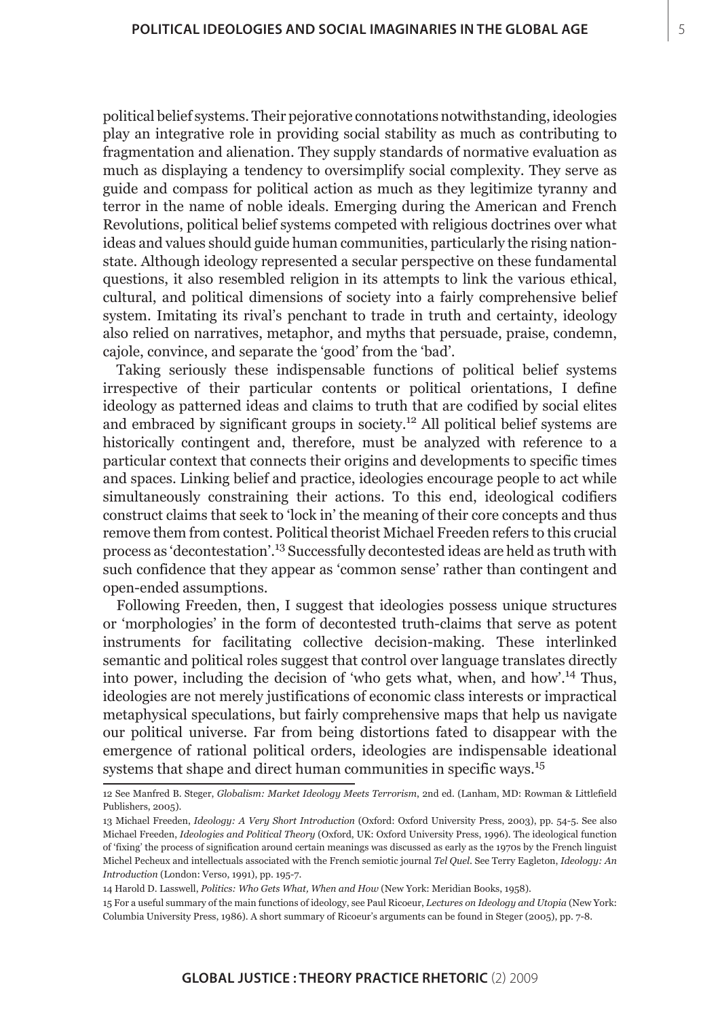political belief systems. Their pejorative connotations notwithstanding, ideologies play an integrative role in providing social stability as much as contributing to fragmentation and alienation. They supply standards of normative evaluation as much as displaying a tendency to oversimplify social complexity. They serve as guide and compass for political action as much as they legitimize tyranny and terror in the name of noble ideals. Emerging during the American and French Revolutions, political belief systems competed with religious doctrines over what ideas and values should guide human communities, particularly the rising nationstate. Although ideology represented a secular perspective on these fundamental questions, it also resembled religion in its attempts to link the various ethical, cultural, and political dimensions of society into a fairly comprehensive belief system. Imitating its rival's penchant to trade in truth and certainty, ideology also relied on narratives, metaphor, and myths that persuade, praise, condemn, cajole, convince, and separate the 'good' from the 'bad'.

Taking seriously these indispensable functions of political belief systems irrespective of their particular contents or political orientations, I define ideology as patterned ideas and claims to truth that are codified by social elites and embraced by significant groups in society.12 All political belief systems are historically contingent and, therefore, must be analyzed with reference to a particular context that connects their origins and developments to specific times and spaces. Linking belief and practice, ideologies encourage people to act while simultaneously constraining their actions. To this end, ideological codifiers construct claims that seek to 'lock in' the meaning of their core concepts and thus remove them from contest. Political theorist Michael Freeden refers to this crucial process as 'decontestation'.13 Successfully decontested ideas are held as truth with such confidence that they appear as 'common sense' rather than contingent and open-ended assumptions.

Following Freeden, then, I suggest that ideologies possess unique structures or 'morphologies' in the form of decontested truth-claims that serve as potent instruments for facilitating collective decision-making. These interlinked semantic and political roles suggest that control over language translates directly into power, including the decision of 'who gets what, when, and how'.14 Thus, ideologies are not merely justifications of economic class interests or impractical metaphysical speculations, but fairly comprehensive maps that help us navigate our political universe. Far from being distortions fated to disappear with the emergence of rational political orders, ideologies are indispensable ideational systems that shape and direct human communities in specific ways.<sup>15</sup>

<sup>12</sup> See Manfred B. Steger, *Globalism: Market Ideology Meets Terrorism*, 2nd ed. (Lanham, MD: Rowman & Littlefield Publishers, 2005).

<sup>13</sup> Michael Freeden, *Ideology: A Very Short Introduction* (Oxford: Oxford University Press, 2003), pp. 54-5. See also Michael Freeden, *Ideologies and Political Theory* (Oxford, UK: Oxford University Press, 1996). The ideological function of 'fixing' the process of signification around certain meanings was discussed as early as the 1970s by the French linguist Michel Pecheux and intellectuals associated with the French semiotic journal *Tel Quel*. See Terry Eagleton, *Ideology: An Introduction* (London: Verso, 1991), pp. 195-7.

<sup>14</sup> Harold D. Lasswell, *Politics: Who Gets What, When and How* (New York: Meridian Books, 1958).

<sup>15</sup> For a useful summary of the main functions of ideology, see Paul Ricoeur, *Lectures on Ideology and Utopia* (New York: Columbia University Press, 1986). A short summary of Ricoeur's arguments can be found in Steger (2005), pp. 7-8.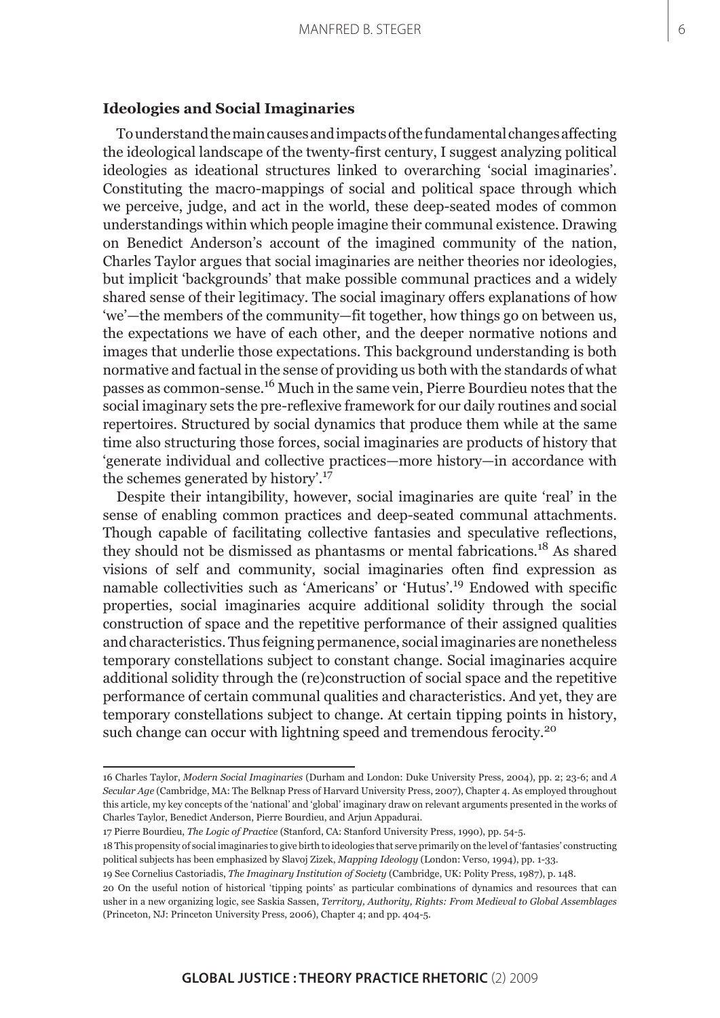# **Ideologies and Social Imaginaries**

To understand the main causes and impacts of the fundamental changes affecting the ideological landscape of the twenty-first century, I suggest analyzing political ideologies as ideational structures linked to overarching 'social imaginaries'. Constituting the macro-mappings of social and political space through which we perceive, judge, and act in the world, these deep-seated modes of common understandings within which people imagine their communal existence. Drawing on Benedict Anderson's account of the imagined community of the nation, Charles Taylor argues that social imaginaries are neither theories nor ideologies, but implicit 'backgrounds' that make possible communal practices and a widely shared sense of their legitimacy. The social imaginary offers explanations of how 'we'—the members of the community—fit together, how things go on between us, the expectations we have of each other, and the deeper normative notions and images that underlie those expectations. This background understanding is both normative and factual in the sense of providing us both with the standards of what passes as common-sense.16 Much in the same vein, Pierre Bourdieu notes that the social imaginary sets the pre-reflexive framework for our daily routines and social repertoires. Structured by social dynamics that produce them while at the same time also structuring those forces, social imaginaries are products of history that 'generate individual and collective practices—more history—in accordance with the schemes generated by history'.<sup>17</sup>

Despite their intangibility, however, social imaginaries are quite 'real' in the sense of enabling common practices and deep-seated communal attachments. Though capable of facilitating collective fantasies and speculative reflections, they should not be dismissed as phantasms or mental fabrications.18 As shared visions of self and community, social imaginaries often find expression as namable collectivities such as 'Americans' or 'Hutus'.19 Endowed with specific properties, social imaginaries acquire additional solidity through the social construction of space and the repetitive performance of their assigned qualities and characteristics. Thus feigning permanence, social imaginaries are nonetheless temporary constellations subject to constant change. Social imaginaries acquire additional solidity through the (re)construction of social space and the repetitive performance of certain communal qualities and characteristics. And yet, they are temporary constellations subject to change. At certain tipping points in history, such change can occur with lightning speed and tremendous ferocity.<sup>20</sup>

<sup>16</sup> Charles Taylor, *Modern Social Imaginaries* (Durham and London: Duke University Press, 2004), pp. 2; 23-6; and *A Secular Age* (Cambridge, MA: The Belknap Press of Harvard University Press, 2007), Chapter 4. As employed throughout this article, my key concepts of the 'national' and 'global' imaginary draw on relevant arguments presented in the works of Charles Taylor, Benedict Anderson, Pierre Bourdieu, and Arjun Appadurai.

<sup>17</sup> Pierre Bourdieu, *The Logic of Practice* (Stanford, CA: Stanford University Press, 1990), pp. 54-5.

<sup>18</sup> This propensity of social imaginaries to give birth to ideologies that serve primarily on the level of 'fantasies' constructing political subjects has been emphasized by Slavoj Zizek, *Mapping Ideology* (London: Verso, 1994), pp. 1-33.

<sup>19</sup> See Cornelius Castoriadis, *The Imaginary Institution of Society* (Cambridge, UK: Polity Press, 1987), p. 148.

<sup>20</sup> On the useful notion of historical 'tipping points' as particular combinations of dynamics and resources that can usher in a new organizing logic, see Saskia Sassen, *Territory, Authority, Rights: From Medieval to Global Assemblages*  (Princeton, NJ: Princeton University Press, 2006), Chapter 4; and pp. 404-5.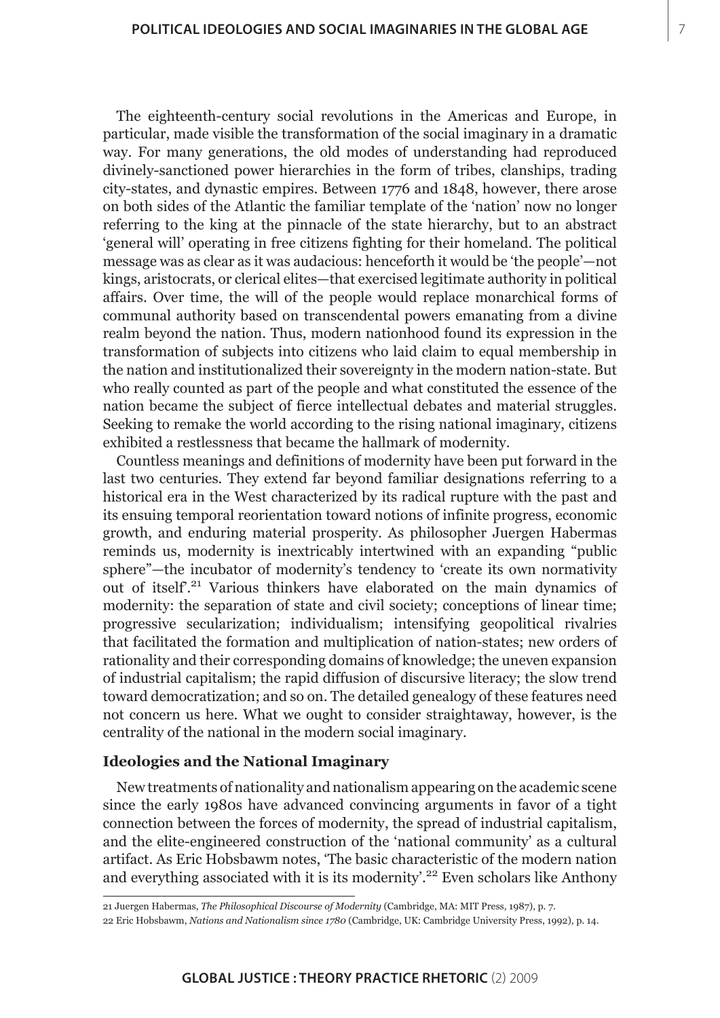The eighteenth-century social revolutions in the Americas and Europe, in particular, made visible the transformation of the social imaginary in a dramatic way. For many generations, the old modes of understanding had reproduced divinely-sanctioned power hierarchies in the form of tribes, clanships, trading city-states, and dynastic empires. Between 1776 and 1848, however, there arose on both sides of the Atlantic the familiar template of the 'nation' now no longer referring to the king at the pinnacle of the state hierarchy, but to an abstract 'general will' operating in free citizens fighting for their homeland. The political message was as clear as it was audacious: henceforth it would be 'the people'—not kings, aristocrats, or clerical elites—that exercised legitimate authority in political affairs. Over time, the will of the people would replace monarchical forms of communal authority based on transcendental powers emanating from a divine realm beyond the nation. Thus, modern nationhood found its expression in the transformation of subjects into citizens who laid claim to equal membership in the nation and institutionalized their sovereignty in the modern nation-state. But who really counted as part of the people and what constituted the essence of the nation became the subject of fierce intellectual debates and material struggles. Seeking to remake the world according to the rising national imaginary, citizens exhibited a restlessness that became the hallmark of modernity.

Countless meanings and definitions of modernity have been put forward in the last two centuries. They extend far beyond familiar designations referring to a historical era in the West characterized by its radical rupture with the past and its ensuing temporal reorientation toward notions of infinite progress, economic growth, and enduring material prosperity. As philosopher Juergen Habermas reminds us, modernity is inextricably intertwined with an expanding "public sphere"—the incubator of modernity's tendency to 'create its own normativity out of itself<sup>21</sup> Various thinkers have elaborated on the main dynamics of modernity: the separation of state and civil society; conceptions of linear time; progressive secularization; individualism; intensifying geopolitical rivalries that facilitated the formation and multiplication of nation-states; new orders of rationality and their corresponding domains of knowledge; the uneven expansion of industrial capitalism; the rapid diffusion of discursive literacy; the slow trend toward democratization; and so on. The detailed genealogy of these features need not concern us here. What we ought to consider straightaway, however, is the centrality of the national in the modern social imaginary.

# **Ideologies and the National Imaginary**

New treatments of nationality and nationalism appearing on the academic scene since the early 1980s have advanced convincing arguments in favor of a tight connection between the forces of modernity, the spread of industrial capitalism, and the elite-engineered construction of the 'national community' as a cultural artifact. As Eric Hobsbawm notes, 'The basic characteristic of the modern nation and everything associated with it is its modernity'.<sup>22</sup> Even scholars like Anthony

<sup>21</sup> Juergen Habermas, *The Philosophical Discourse of Modernity* (Cambridge, MA: MIT Press, 1987), p. 7.

<sup>22</sup> Eric Hobsbawm, *Nations and Nationalism since 1780* (Cambridge, UK: Cambridge University Press, 1992), p. 14.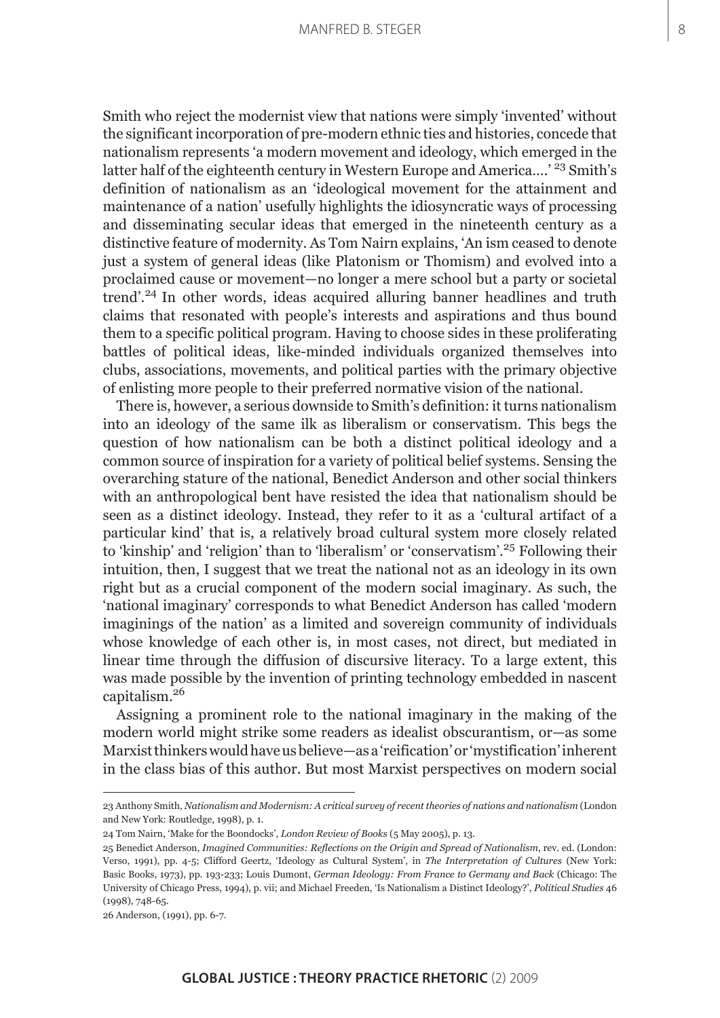Smith who reject the modernist view that nations were simply 'invented' without the significant incorporation of pre-modern ethnic ties and histories, concede that nationalism represents 'a modern movement and ideology, which emerged in the latter half of the eighteenth century in Western Europe and America....'<sup>23</sup> Smith's definition of nationalism as an 'ideological movement for the attainment and maintenance of a nation' usefully highlights the idiosyncratic ways of processing and disseminating secular ideas that emerged in the nineteenth century as a distinctive feature of modernity. As Tom Nairn explains, 'An ism ceased to denote just a system of general ideas (like Platonism or Thomism) and evolved into a proclaimed cause or movement—no longer a mere school but a party or societal trend'.<sup>24</sup> In other words, ideas acquired alluring banner headlines and truth claims that resonated with people's interests and aspirations and thus bound them to a specific political program. Having to choose sides in these proliferating battles of political ideas, like-minded individuals organized themselves into clubs, associations, movements, and political parties with the primary objective of enlisting more people to their preferred normative vision of the national.

There is, however, a serious downside to Smith's definition: it turns nationalism into an ideology of the same ilk as liberalism or conservatism. This begs the question of how nationalism can be both a distinct political ideology and a common source of inspiration for a variety of political belief systems. Sensing the overarching stature of the national, Benedict Anderson and other social thinkers with an anthropological bent have resisted the idea that nationalism should be seen as a distinct ideology. Instead, they refer to it as a 'cultural artifact of a particular kind' that is, a relatively broad cultural system more closely related to 'kinship' and 'religion' than to 'liberalism' or 'conservatism'.25 Following their intuition, then, I suggest that we treat the national not as an ideology in its own right but as a crucial component of the modern social imaginary. As such, the 'national imaginary' corresponds to what Benedict Anderson has called 'modern imaginings of the nation' as a limited and sovereign community of individuals whose knowledge of each other is, in most cases, not direct, but mediated in linear time through the diffusion of discursive literacy. To a large extent, this was made possible by the invention of printing technology embedded in nascent capitalism.<sup>26</sup>

Assigning a prominent role to the national imaginary in the making of the modern world might strike some readers as idealist obscurantism, or—as some Marxist thinkers would have us believe—as a 'reification' or 'mystification' inherent in the class bias of this author. But most Marxist perspectives on modern social

<sup>23</sup> Anthony Smith, *Nationalism and Modernism: A critical survey of recent theories of nations and nationalism* (London and New York: Routledge, 1998), p. 1.

<sup>24</sup> Tom Nairn, 'Make for the Boondocks', *London Review of Books* (5 May 2005), p. 13.

<sup>25</sup> Benedict Anderson, *Imagined Communities: Reflections on the Origin and Spread of Nationalism*, rev. ed. (London: Verso, 1991), pp. 4-5; Clifford Geertz, 'Ideology as Cultural System', in *The Interpretation of Cultures* (New York: Basic Books, 1973), pp. 193-233; Louis Dumont, *German Ideology: From France to Germany and Back* (Chicago: The University of Chicago Press, 1994), p. vii; and Michael Freeden, 'Is Nationalism a Distinct Ideology?', *Political Studies* 46 (1998), 748-65.

<sup>26</sup> Anderson, (1991), pp. 6-7.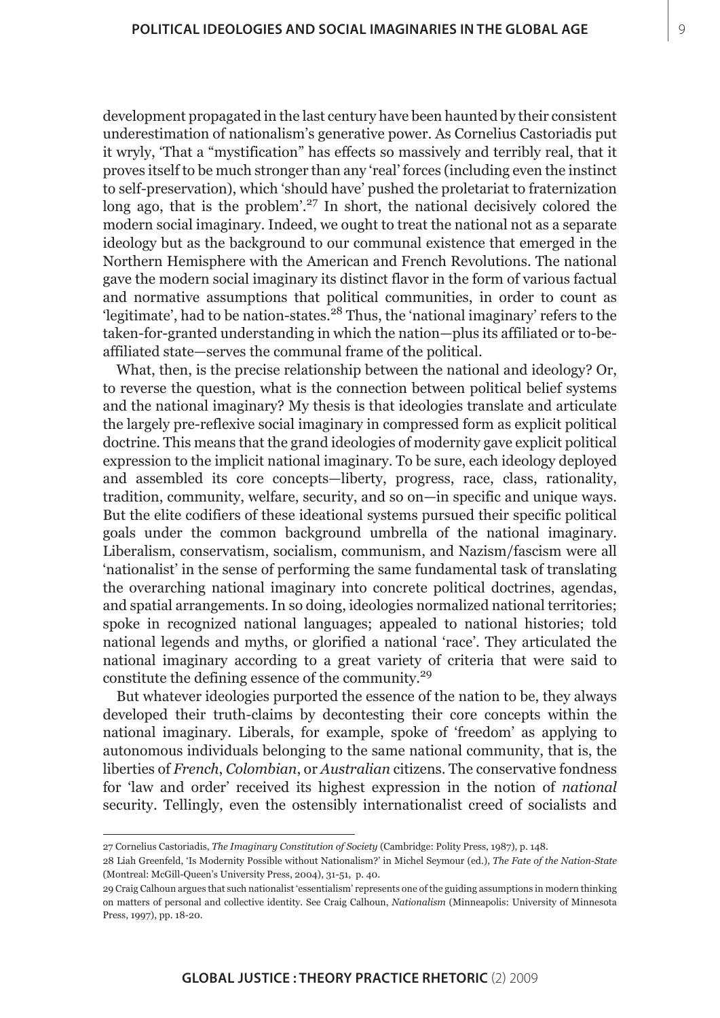development propagated in the last century have been haunted by their consistent underestimation of nationalism's generative power. As Cornelius Castoriadis put it wryly, 'That a "mystification" has effects so massively and terribly real, that it proves itself to be much stronger than any 'real' forces (including even the instinct to self-preservation), which 'should have' pushed the proletariat to fraternization long ago, that is the problem'.27 In short, the national decisively colored the modern social imaginary. Indeed, we ought to treat the national not as a separate ideology but as the background to our communal existence that emerged in the Northern Hemisphere with the American and French Revolutions. The national gave the modern social imaginary its distinct flavor in the form of various factual and normative assumptions that political communities, in order to count as 'legitimate', had to be nation-states.<sup>28</sup> Thus, the 'national imaginary' refers to the taken-for-granted understanding in which the nation—plus its affiliated or to-beaffiliated state—serves the communal frame of the political.

What, then, is the precise relationship between the national and ideology? Or, to reverse the question, what is the connection between political belief systems and the national imaginary? My thesis is that ideologies translate and articulate the largely pre-reflexive social imaginary in compressed form as explicit political doctrine. This means that the grand ideologies of modernity gave explicit political expression to the implicit national imaginary. To be sure, each ideology deployed and assembled its core concepts—liberty, progress, race, class, rationality, tradition, community, welfare, security, and so on—in specific and unique ways. But the elite codifiers of these ideational systems pursued their specific political goals under the common background umbrella of the national imaginary. Liberalism, conservatism, socialism, communism, and Nazism/fascism were all 'nationalist' in the sense of performing the same fundamental task of translating the overarching national imaginary into concrete political doctrines, agendas, and spatial arrangements. In so doing, ideologies normalized national territories; spoke in recognized national languages; appealed to national histories; told national legends and myths, or glorified a national 'race'. They articulated the national imaginary according to a great variety of criteria that were said to constitute the defining essence of the community.<sup>29</sup>

But whatever ideologies purported the essence of the nation to be, they always developed their truth-claims by decontesting their core concepts within the national imaginary. Liberals, for example, spoke of 'freedom' as applying to autonomous individuals belonging to the same national community, that is, the liberties of *French*, *Colombian*, or *Australian* citizens. The conservative fondness for 'law and order' received its highest expression in the notion of *national* security. Tellingly, even the ostensibly internationalist creed of socialists and

<sup>27</sup> Cornelius Castoriadis, *The Imaginary Constitution of Society* (Cambridge: Polity Press, 1987), p. 148.

<sup>28</sup> Liah Greenfeld, 'Is Modernity Possible without Nationalism?' in Michel Seymour (ed.), *The Fate of the Nation-State*  (Montreal: McGill-Queen's University Press, 2004), 31-51, p. 40.

<sup>29</sup> Craig Calhoun argues that such nationalist 'essentialism' represents one of the guiding assumptions in modern thinking on matters of personal and collective identity. See Craig Calhoun, *Nationalism* (Minneapolis: University of Minnesota Press, 1997), pp. 18-20.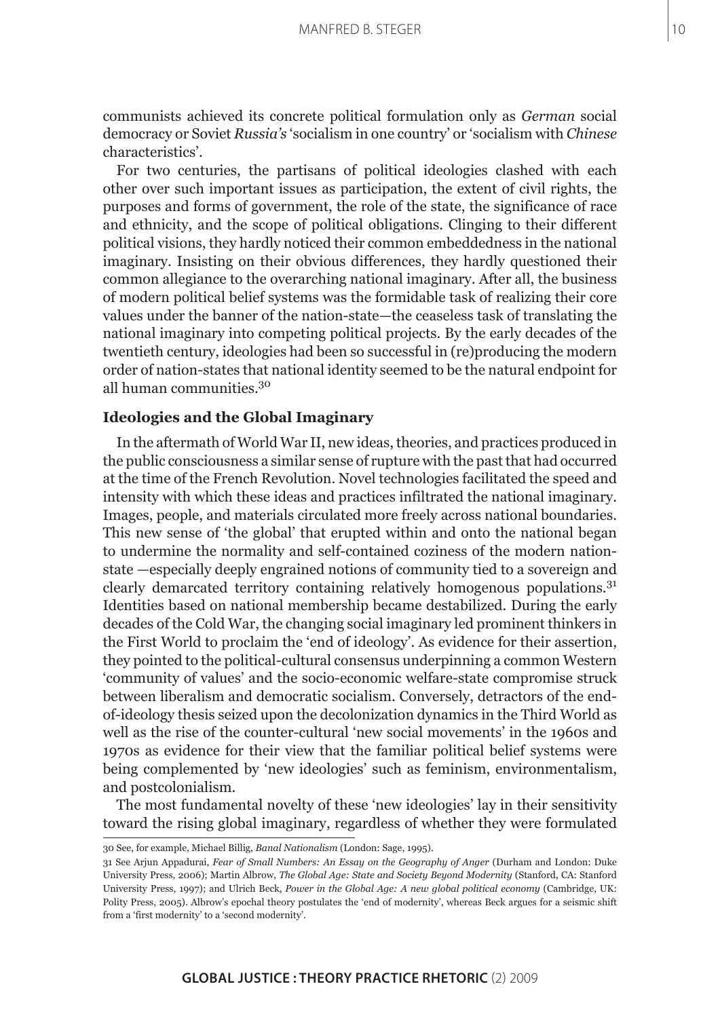communists achieved its concrete political formulation only as *German* social democracy or Soviet *Russia's* 'socialism in one country' or 'socialism with *Chinese* characteristics'.

For two centuries, the partisans of political ideologies clashed with each other over such important issues as participation, the extent of civil rights, the purposes and forms of government, the role of the state, the significance of race and ethnicity, and the scope of political obligations. Clinging to their different political visions, they hardly noticed their common embeddedness in the national imaginary. Insisting on their obvious differences, they hardly questioned their common allegiance to the overarching national imaginary. After all, the business of modern political belief systems was the formidable task of realizing their core values under the banner of the nation-state—the ceaseless task of translating the national imaginary into competing political projects. By the early decades of the twentieth century, ideologies had been so successful in (re)producing the modern order of nation-states that national identity seemed to be the natural endpoint for all human communities.<sup>30</sup>

# **Ideologies and the Global Imaginary**

In the aftermath of World War II, new ideas, theories, and practices produced in the public consciousness a similar sense of rupture with the past that had occurred at the time of the French Revolution. Novel technologies facilitated the speed and intensity with which these ideas and practices infiltrated the national imaginary. Images, people, and materials circulated more freely across national boundaries. This new sense of 'the global' that erupted within and onto the national began to undermine the normality and self-contained coziness of the modern nationstate —especially deeply engrained notions of community tied to a sovereign and clearly demarcated territory containing relatively homogenous populations.<sup>31</sup> Identities based on national membership became destabilized. During the early decades of the Cold War, the changing social imaginary led prominent thinkers in the First World to proclaim the 'end of ideology'. As evidence for their assertion, they pointed to the political-cultural consensus underpinning a common Western 'community of values' and the socio-economic welfare-state compromise struck between liberalism and democratic socialism. Conversely, detractors of the endof-ideology thesis seized upon the decolonization dynamics in the Third World as well as the rise of the counter-cultural 'new social movements' in the 1960s and 1970s as evidence for their view that the familiar political belief systems were being complemented by 'new ideologies' such as feminism, environmentalism, and postcolonialism.

The most fundamental novelty of these 'new ideologies' lay in their sensitivity toward the rising global imaginary, regardless of whether they were formulated 10

<sup>30</sup> See, for example, Michael Billig, *Banal Nationalism* (London: Sage, 1995).

<sup>31</sup> See Arjun Appadurai, *Fear of Small Numbers: An Essay on the Geography of Anger* (Durham and London: Duke University Press, 2006); Martin Albrow, *The Global Age: State and Society Beyond Modernity* (Stanford, CA: Stanford University Press, 1997); and Ulrich Beck, *Power in the Global Age: A new global political economy* (Cambridge, UK: Polity Press, 2005). Albrow's epochal theory postulates the 'end of modernity', whereas Beck argues for a seismic shift from a 'first modernity' to a 'second modernity'.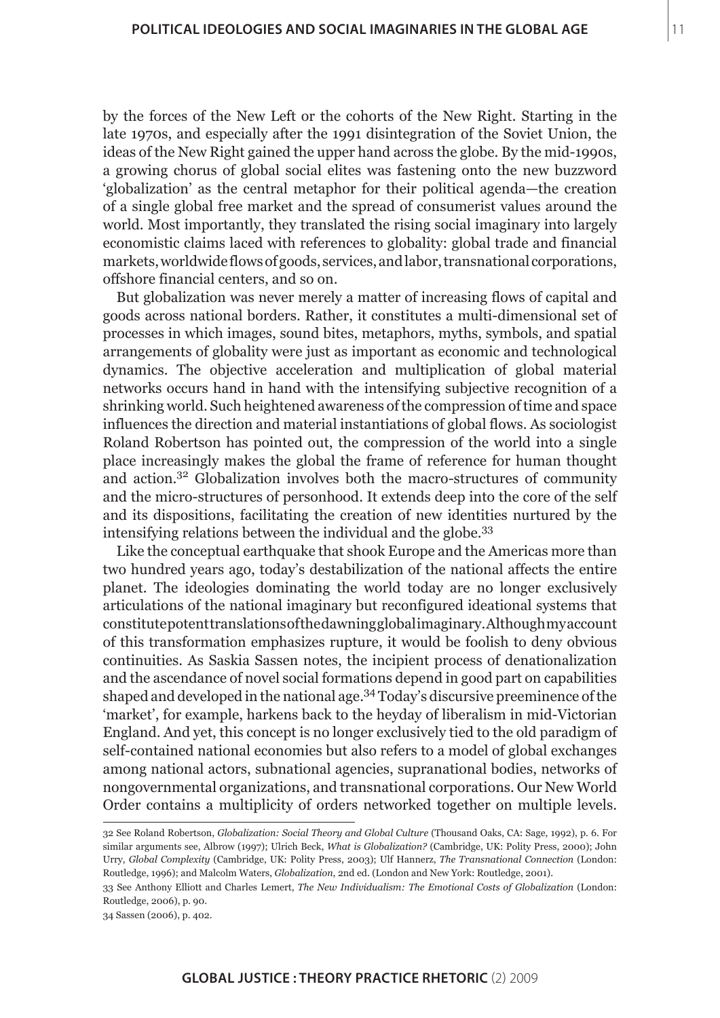by the forces of the New Left or the cohorts of the New Right. Starting in the late 1970s, and especially after the 1991 disintegration of the Soviet Union, the ideas of the New Right gained the upper hand across the globe. By the mid-1990s, a growing chorus of global social elites was fastening onto the new buzzword 'globalization' as the central metaphor for their political agenda—the creation of a single global free market and the spread of consumerist values around the world. Most importantly, they translated the rising social imaginary into largely economistic claims laced with references to globality: global trade and financial markets, worldwide flows of goods, services, and labor, transnational corporations, offshore financial centers, and so on.

But globalization was never merely a matter of increasing flows of capital and goods across national borders. Rather, it constitutes a multi-dimensional set of processes in which images, sound bites, metaphors, myths, symbols, and spatial arrangements of globality were just as important as economic and technological dynamics. The objective acceleration and multiplication of global material networks occurs hand in hand with the intensifying subjective recognition of a shrinking world. Such heightened awareness of the compression of time and space influences the direction and material instantiations of global flows. As sociologist Roland Robertson has pointed out, the compression of the world into a single place increasingly makes the global the frame of reference for human thought and action.32 Globalization involves both the macro-structures of community and the micro-structures of personhood. It extends deep into the core of the self and its dispositions, facilitating the creation of new identities nurtured by the intensifying relations between the individual and the globe.<sup>33</sup>

Like the conceptual earthquake that shook Europe and the Americas more than two hundred years ago, today's destabilization of the national affects the entire planet. The ideologies dominating the world today are no longer exclusively articulations of the national imaginary but reconfigured ideational systems that constitute potent translations of the dawning global imaginary. Although my account of this transformation emphasizes rupture, it would be foolish to deny obvious continuities. As Saskia Sassen notes, the incipient process of denationalization and the ascendance of novel social formations depend in good part on capabilities shaped and developed in the national age.34 Today's discursive preeminence of the 'market', for example, harkens back to the heyday of liberalism in mid-Victorian England. And yet, this concept is no longer exclusively tied to the old paradigm of self-contained national economies but also refers to a model of global exchanges among national actors, subnational agencies, supranational bodies, networks of nongovernmental organizations, and transnational corporations. Our New World Order contains a multiplicity of orders networked together on multiple levels.

<sup>32</sup> See Roland Robertson, *Globalization: Social Theory and Global Culture* (Thousand Oaks, CA: Sage, 1992), p. 6. For similar arguments see, Albrow (1997); Ulrich Beck, *What is Globalization?* (Cambridge, UK: Polity Press, 2000); John Urry, *Global Complexity* (Cambridge, UK: Polity Press, 2003); Ulf Hannerz, *The Transnational Connection* (London: Routledge, 1996); and Malcolm Waters, *Globalization*, 2nd ed. (London and New York: Routledge, 2001).

<sup>33</sup> See Anthony Elliott and Charles Lemert, *The New Individualism: The Emotional Costs of Globalization* (London: Routledge, 2006), p. 90.

<sup>34</sup> Sassen (2006), p. 402.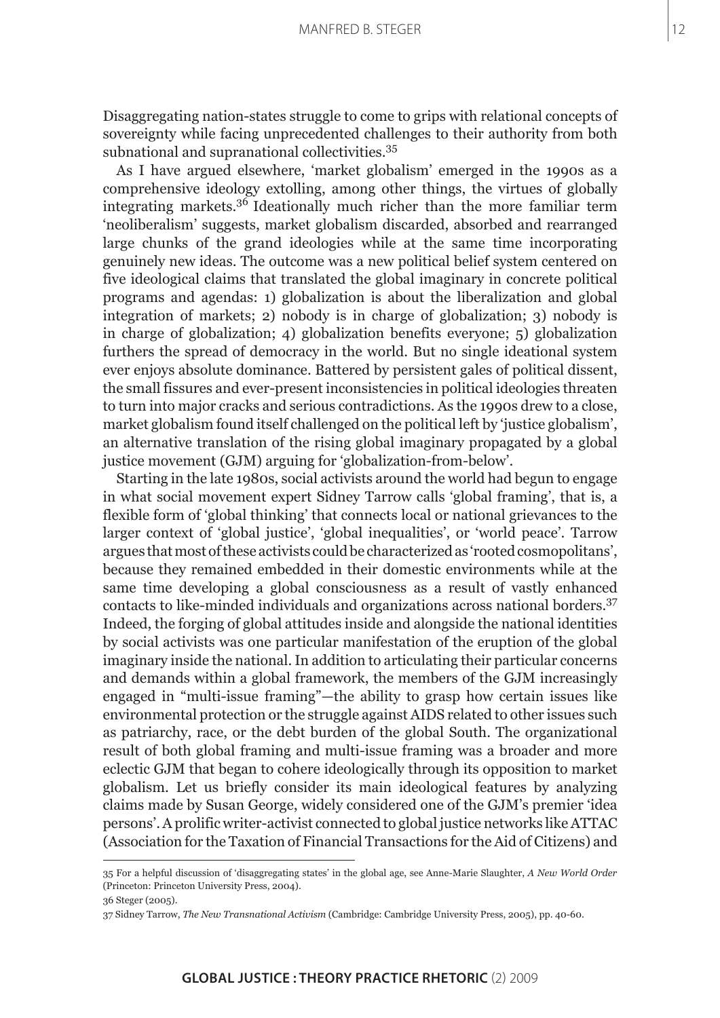Disaggregating nation-states struggle to come to grips with relational concepts of sovereignty while facing unprecedented challenges to their authority from both subnational and supranational collectivities.<sup>35</sup>

As I have argued elsewhere, 'market globalism' emerged in the 1990s as a comprehensive ideology extolling, among other things, the virtues of globally integrating markets.36 Ideationally much richer than the more familiar term 'neoliberalism' suggests, market globalism discarded, absorbed and rearranged large chunks of the grand ideologies while at the same time incorporating genuinely new ideas. The outcome was a new political belief system centered on five ideological claims that translated the global imaginary in concrete political programs and agendas: 1) globalization is about the liberalization and global integration of markets; 2) nobody is in charge of globalization; 3) nobody is in charge of globalization; 4) globalization benefits everyone; 5) globalization furthers the spread of democracy in the world. But no single ideational system ever enjoys absolute dominance. Battered by persistent gales of political dissent, the small fissures and ever-present inconsistencies in political ideologies threaten to turn into major cracks and serious contradictions. As the 1990s drew to a close, market globalism found itself challenged on the political left by 'justice globalism', an alternative translation of the rising global imaginary propagated by a global justice movement (GJM) arguing for 'globalization-from-below'.

Starting in the late 1980s, social activists around the world had begun to engage in what social movement expert Sidney Tarrow calls 'global framing', that is, a flexible form of 'global thinking' that connects local or national grievances to the larger context of 'global justice', 'global inequalities', or 'world peace'. Tarrow argues that most of these activists could be characterized as 'rooted cosmopolitans', because they remained embedded in their domestic environments while at the same time developing a global consciousness as a result of vastly enhanced contacts to like-minded individuals and organizations across national borders.<sup>37</sup> Indeed, the forging of global attitudes inside and alongside the national identities by social activists was one particular manifestation of the eruption of the global imaginary inside the national. In addition to articulating their particular concerns and demands within a global framework, the members of the GJM increasingly engaged in "multi-issue framing"—the ability to grasp how certain issues like environmental protection or the struggle against AIDS related to other issues such as patriarchy, race, or the debt burden of the global South. The organizational result of both global framing and multi-issue framing was a broader and more eclectic GJM that began to cohere ideologically through its opposition to market globalism. Let us briefly consider its main ideological features by analyzing claims made by Susan George, widely considered one of the GJM's premier 'idea persons'. A prolific writer-activist connected to global justice networks like ATTAC (Association for the Taxation of Financial Transactions for the Aid of Citizens) and

12

<sup>35</sup> For a helpful discussion of 'disaggregating states' in the global age, see Anne-Marie Slaughter, *A New World Order*  (Princeton: Princeton University Press, 2004).

<sup>36</sup> Steger (2005).

<sup>37</sup> Sidney Tarrow, *The New Transnational Activism* (Cambridge: Cambridge University Press, 2005), pp. 40-60.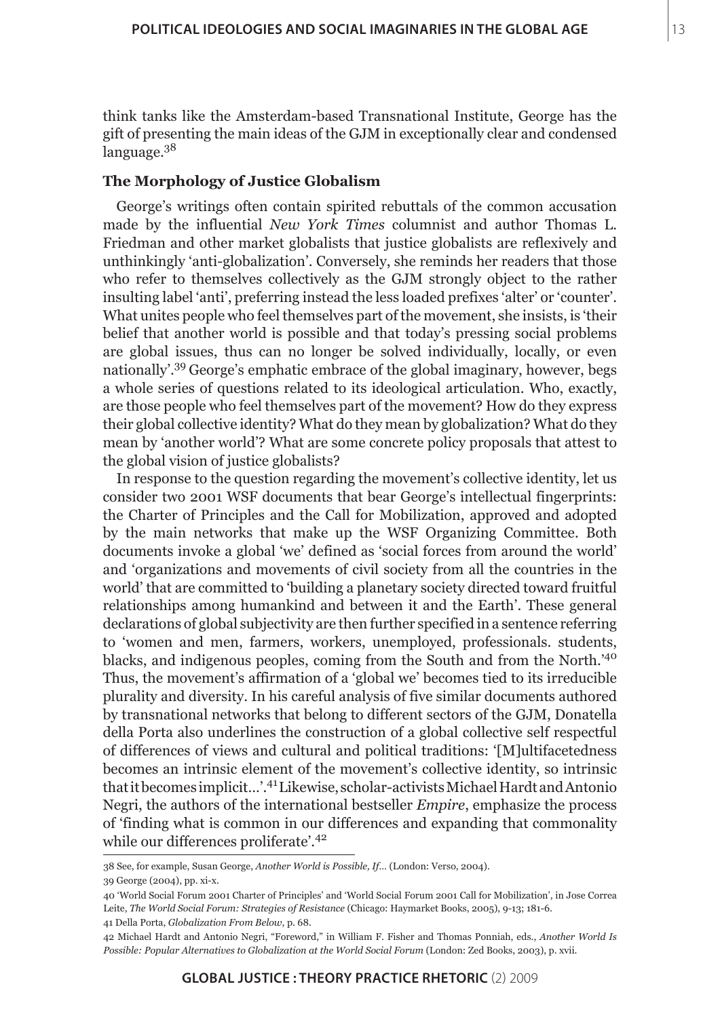think tanks like the Amsterdam-based Transnational Institute, George has the gift of presenting the main ideas of the GJM in exceptionally clear and condensed language.<sup>38</sup>

#### **The Morphology of Justice Globalism**

George's writings often contain spirited rebuttals of the common accusation made by the influential *New York Times* columnist and author Thomas L. Friedman and other market globalists that justice globalists are reflexively and unthinkingly 'anti-globalization'. Conversely, she reminds her readers that those who refer to themselves collectively as the GJM strongly object to the rather insulting label 'anti', preferring instead the less loaded prefixes 'alter' or 'counter'. What unites people who feel themselves part of the movement, she insists, is 'their belief that another world is possible and that today's pressing social problems are global issues, thus can no longer be solved individually, locally, or even nationally'.39 George's emphatic embrace of the global imaginary, however, begs a whole series of questions related to its ideological articulation. Who, exactly, are those people who feel themselves part of the movement? How do they express their global collective identity? What do they mean by globalization? What do they mean by 'another world'? What are some concrete policy proposals that attest to the global vision of justice globalists?

In response to the question regarding the movement's collective identity, let us consider two 2001 WSF documents that bear George's intellectual fingerprints: the Charter of Principles and the Call for Mobilization, approved and adopted by the main networks that make up the WSF Organizing Committee. Both documents invoke a global 'we' defined as 'social forces from around the world' and 'organizations and movements of civil society from all the countries in the world' that are committed to 'building a planetary society directed toward fruitful relationships among humankind and between it and the Earth'. These general declarations of global subjectivity are then further specified in a sentence referring to 'women and men, farmers, workers, unemployed, professionals. students, blacks, and indigenous peoples, coming from the South and from the North.'<sup>40</sup> Thus, the movement's affirmation of a 'global we' becomes tied to its irreducible plurality and diversity. In his careful analysis of five similar documents authored by transnational networks that belong to different sectors of the GJM, Donatella della Porta also underlines the construction of a global collective self respectful of differences of views and cultural and political traditions: '[M]ultifacetedness becomes an intrinsic element of the movement's collective identity, so intrinsic that it becomes implicit…'.41 Likewise, scholar-activists Michael Hardt and Antonio Negri, the authors of the international bestseller *Empire*, emphasize the process of 'finding what is common in our differences and expanding that commonality while our differences proliferate'.<sup>42</sup>

<sup>38</sup> See, for example, Susan George, *Another World is Possible, If…* (London: Verso, 2004).

<sup>39</sup> George (2004), pp. xi-x.

<sup>40 &#</sup>x27;World Social Forum 2001 Charter of Principles' and 'World Social Forum 2001 Call for Mobilization', in Jose Correa Leite, *The World Social Forum: Strategies of Resistance* (Chicago: Haymarket Books, 2005), 9-13; 181-6.

<sup>41</sup> Della Porta, *Globalization From Below*, p. 68.

<sup>42</sup> Michael Hardt and Antonio Negri, "Foreword," in William F. Fisher and Thomas Ponniah, eds., *Another World Is Possible: Popular Alternatives to Globalization at the World Social Forum* (London: Zed Books, 2003), p. xvii.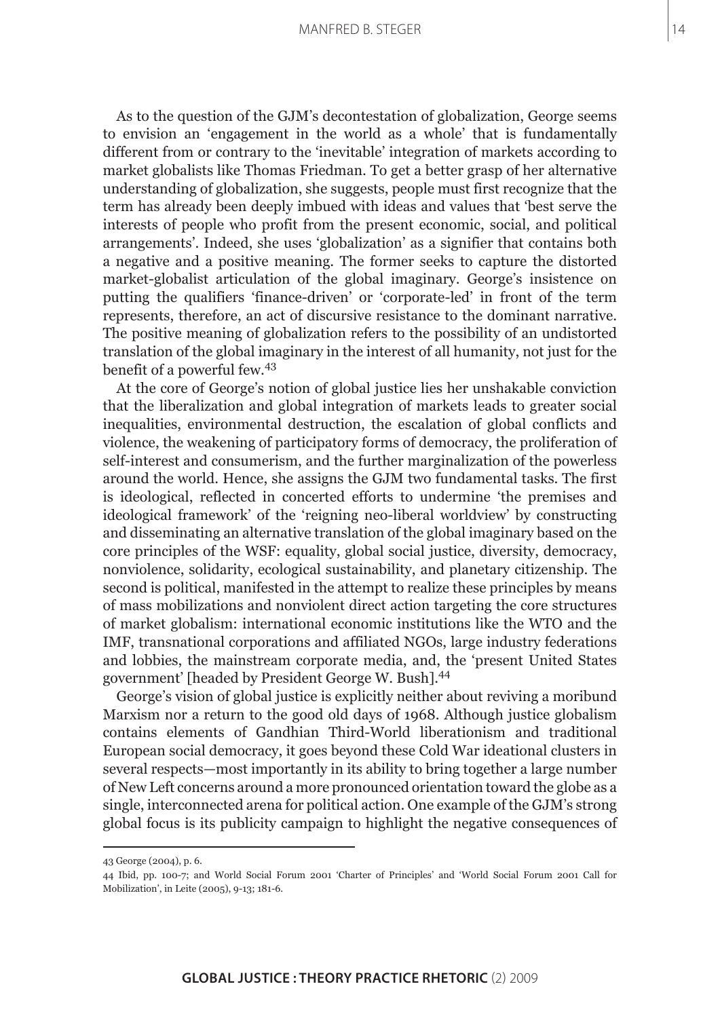#### Manfred B. Steger

As to the question of the GJM's decontestation of globalization, George seems to envision an 'engagement in the world as a whole' that is fundamentally different from or contrary to the 'inevitable' integration of markets according to market globalists like Thomas Friedman. To get a better grasp of her alternative understanding of globalization, she suggests, people must first recognize that the term has already been deeply imbued with ideas and values that 'best serve the interests of people who profit from the present economic, social, and political arrangements'. Indeed, she uses 'globalization' as a signifier that contains both a negative and a positive meaning. The former seeks to capture the distorted market-globalist articulation of the global imaginary. George's insistence on putting the qualifiers 'finance-driven' or 'corporate-led' in front of the term represents, therefore, an act of discursive resistance to the dominant narrative. The positive meaning of globalization refers to the possibility of an undistorted translation of the global imaginary in the interest of all humanity, not just for the benefit of a powerful few.<sup>43</sup>

At the core of George's notion of global justice lies her unshakable conviction that the liberalization and global integration of markets leads to greater social inequalities, environmental destruction, the escalation of global conflicts and violence, the weakening of participatory forms of democracy, the proliferation of self-interest and consumerism, and the further marginalization of the powerless around the world. Hence, she assigns the GJM two fundamental tasks. The first is ideological, reflected in concerted efforts to undermine 'the premises and ideological framework' of the 'reigning neo-liberal worldview' by constructing and disseminating an alternative translation of the global imaginary based on the core principles of the WSF: equality, global social justice, diversity, democracy, nonviolence, solidarity, ecological sustainability, and planetary citizenship. The second is political, manifested in the attempt to realize these principles by means of mass mobilizations and nonviolent direct action targeting the core structures of market globalism: international economic institutions like the WTO and the IMF, transnational corporations and affiliated NGOs, large industry federations and lobbies, the mainstream corporate media, and, the 'present United States government' [headed by President George W. Bush].<sup>44</sup>

George's vision of global justice is explicitly neither about reviving a moribund Marxism nor a return to the good old days of 1968. Although justice globalism contains elements of Gandhian Third-World liberationism and traditional European social democracy, it goes beyond these Cold War ideational clusters in several respects—most importantly in its ability to bring together a large number of New Left concerns around a more pronounced orientation toward the globe as a single, interconnected arena for political action. One example of the GJM's strong global focus is its publicity campaign to highlight the negative consequences of 14

<sup>43</sup> George (2004), p. 6.

<sup>44</sup> Ibid, pp. 100-7; and World Social Forum 2001 'Charter of Principles' and 'World Social Forum 2001 Call for Mobilization', in Leite (2005), 9-13; 181-6.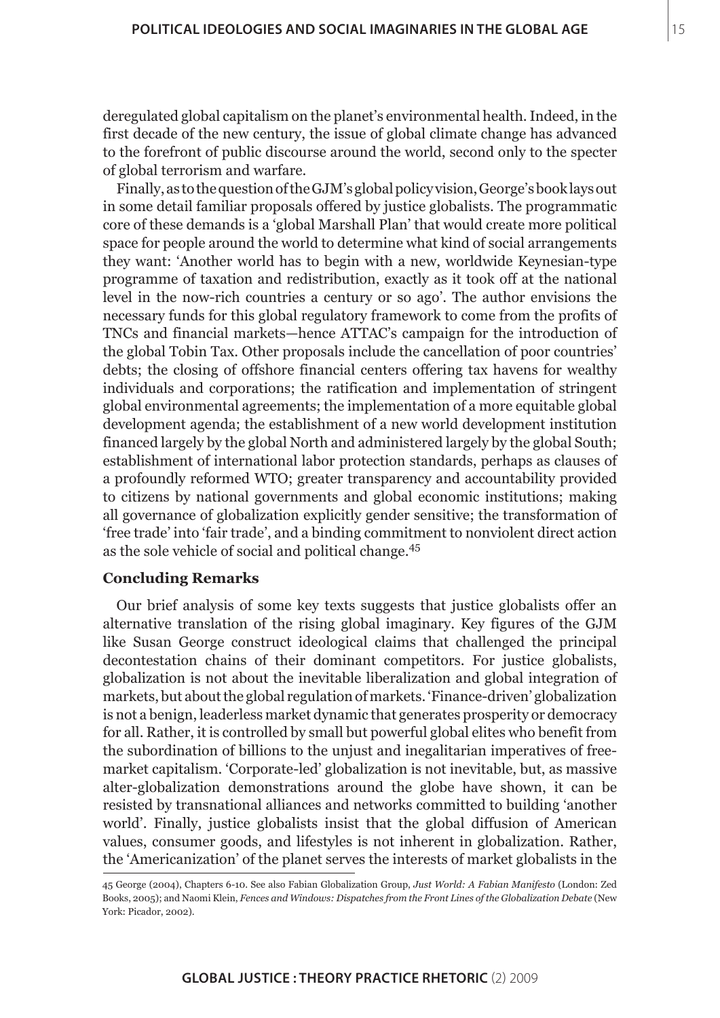deregulated global capitalism on the planet's environmental health. Indeed, in the first decade of the new century, the issue of global climate change has advanced to the forefront of public discourse around the world, second only to the specter of global terrorism and warfare.

Finally, as to the question of the GJM's global policy vision, George's book lays out in some detail familiar proposals offered by justice globalists. The programmatic core of these demands is a 'global Marshall Plan' that would create more political space for people around the world to determine what kind of social arrangements they want: 'Another world has to begin with a new, worldwide Keynesian-type programme of taxation and redistribution, exactly as it took off at the national level in the now-rich countries a century or so ago'. The author envisions the necessary funds for this global regulatory framework to come from the profits of TNCs and financial markets—hence ATTAC's campaign for the introduction of the global Tobin Tax. Other proposals include the cancellation of poor countries' debts; the closing of offshore financial centers offering tax havens for wealthy individuals and corporations; the ratification and implementation of stringent global environmental agreements; the implementation of a more equitable global development agenda; the establishment of a new world development institution financed largely by the global North and administered largely by the global South; establishment of international labor protection standards, perhaps as clauses of a profoundly reformed WTO; greater transparency and accountability provided to citizens by national governments and global economic institutions; making all governance of globalization explicitly gender sensitive; the transformation of 'free trade' into 'fair trade', and a binding commitment to nonviolent direct action as the sole vehicle of social and political change.<sup>45</sup>

# **Concluding Remarks**

Our brief analysis of some key texts suggests that justice globalists offer an alternative translation of the rising global imaginary. Key figures of the GJM like Susan George construct ideological claims that challenged the principal decontestation chains of their dominant competitors. For justice globalists, globalization is not about the inevitable liberalization and global integration of markets, but about the global regulation of markets. 'Finance-driven' globalization is not a benign, leaderless market dynamic that generates prosperity or democracy for all. Rather, it is controlled by small but powerful global elites who benefit from the subordination of billions to the unjust and inegalitarian imperatives of freemarket capitalism. 'Corporate-led' globalization is not inevitable, but, as massive alter-globalization demonstrations around the globe have shown, it can be resisted by transnational alliances and networks committed to building 'another world'. Finally, justice globalists insist that the global diffusion of American values, consumer goods, and lifestyles is not inherent in globalization. Rather, the 'Americanization' of the planet serves the interests of market globalists in the

<sup>45</sup> George (2004), Chapters 6-10. See also Fabian Globalization Group, *Just World: A Fabian Manifesto* (London: Zed Books, 2005); and Naomi Klein, *Fences and Windows: Dispatches from the Front Lines of the Globalization Debate* (New York: Picador, 2002).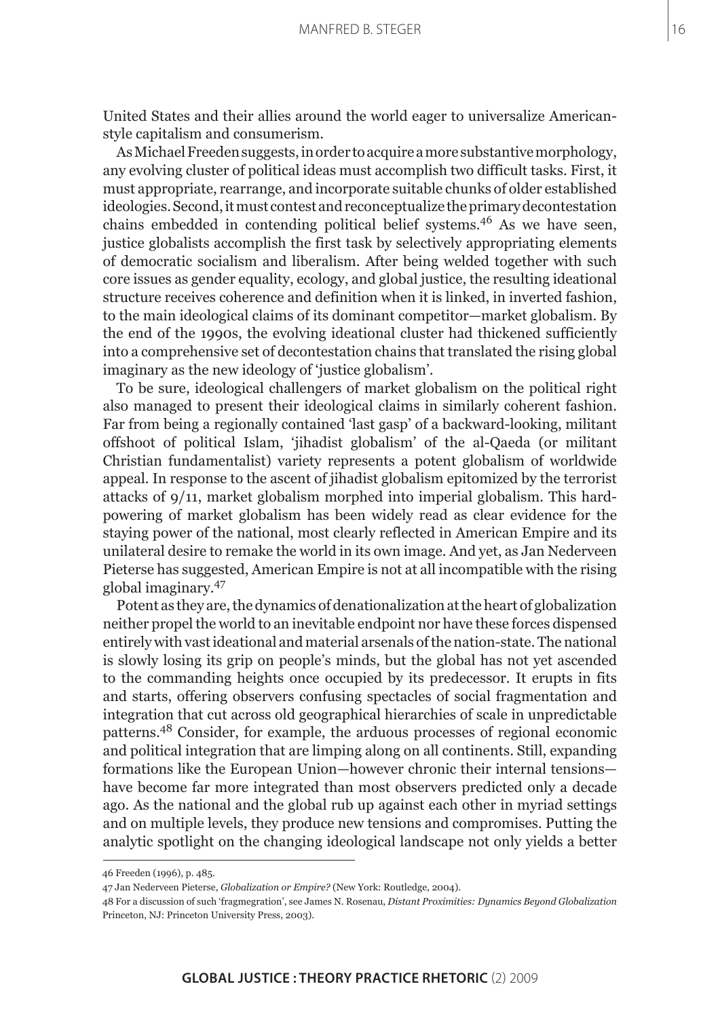United States and their allies around the world eager to universalize Americanstyle capitalism and consumerism.

As Michael Freeden suggests, in order to acquire a more substantive morphology, any evolving cluster of political ideas must accomplish two difficult tasks. First, it must appropriate, rearrange, and incorporate suitable chunks of older established ideologies. Second, it must contest and reconceptualize the primary decontestation chains embedded in contending political belief systems.46 As we have seen, justice globalists accomplish the first task by selectively appropriating elements of democratic socialism and liberalism. After being welded together with such core issues as gender equality, ecology, and global justice, the resulting ideational structure receives coherence and definition when it is linked, in inverted fashion, to the main ideological claims of its dominant competitor—market globalism. By the end of the 1990s, the evolving ideational cluster had thickened sufficiently into a comprehensive set of decontestation chains that translated the rising global imaginary as the new ideology of 'justice globalism'.

To be sure, ideological challengers of market globalism on the political right also managed to present their ideological claims in similarly coherent fashion. Far from being a regionally contained 'last gasp' of a backward-looking, militant offshoot of political Islam, 'jihadist globalism' of the al-Qaeda (or militant Christian fundamentalist) variety represents a potent globalism of worldwide appeal. In response to the ascent of jihadist globalism epitomized by the terrorist attacks of 9/11, market globalism morphed into imperial globalism. This hardpowering of market globalism has been widely read as clear evidence for the staying power of the national, most clearly reflected in American Empire and its unilateral desire to remake the world in its own image. And yet, as Jan Nederveen Pieterse has suggested, American Empire is not at all incompatible with the rising global imaginary.47

Potent as they are, the dynamics of denationalization at the heart of globalization neither propel the world to an inevitable endpoint nor have these forces dispensed entirely with vast ideational and material arsenals of the nation-state. The national is slowly losing its grip on people's minds, but the global has not yet ascended to the commanding heights once occupied by its predecessor. It erupts in fits and starts, offering observers confusing spectacles of social fragmentation and integration that cut across old geographical hierarchies of scale in unpredictable patterns.48 Consider, for example, the arduous processes of regional economic and political integration that are limping along on all continents. Still, expanding formations like the European Union—however chronic their internal tensions have become far more integrated than most observers predicted only a decade ago. As the national and the global rub up against each other in myriad settings and on multiple levels, they produce new tensions and compromises. Putting the analytic spotlight on the changing ideological landscape not only yields a better

<sup>46</sup> Freeden (1996), p. 485.

<sup>47</sup> Jan Nederveen Pieterse, *Globalization or Empire?* (New York: Routledge, 2004).

<sup>48</sup> For a discussion of such 'fragmegration', see James N. Rosenau, *Distant Proximities: Dynamics Beyond Globalization*  Princeton, NJ: Princeton University Press, 2003).